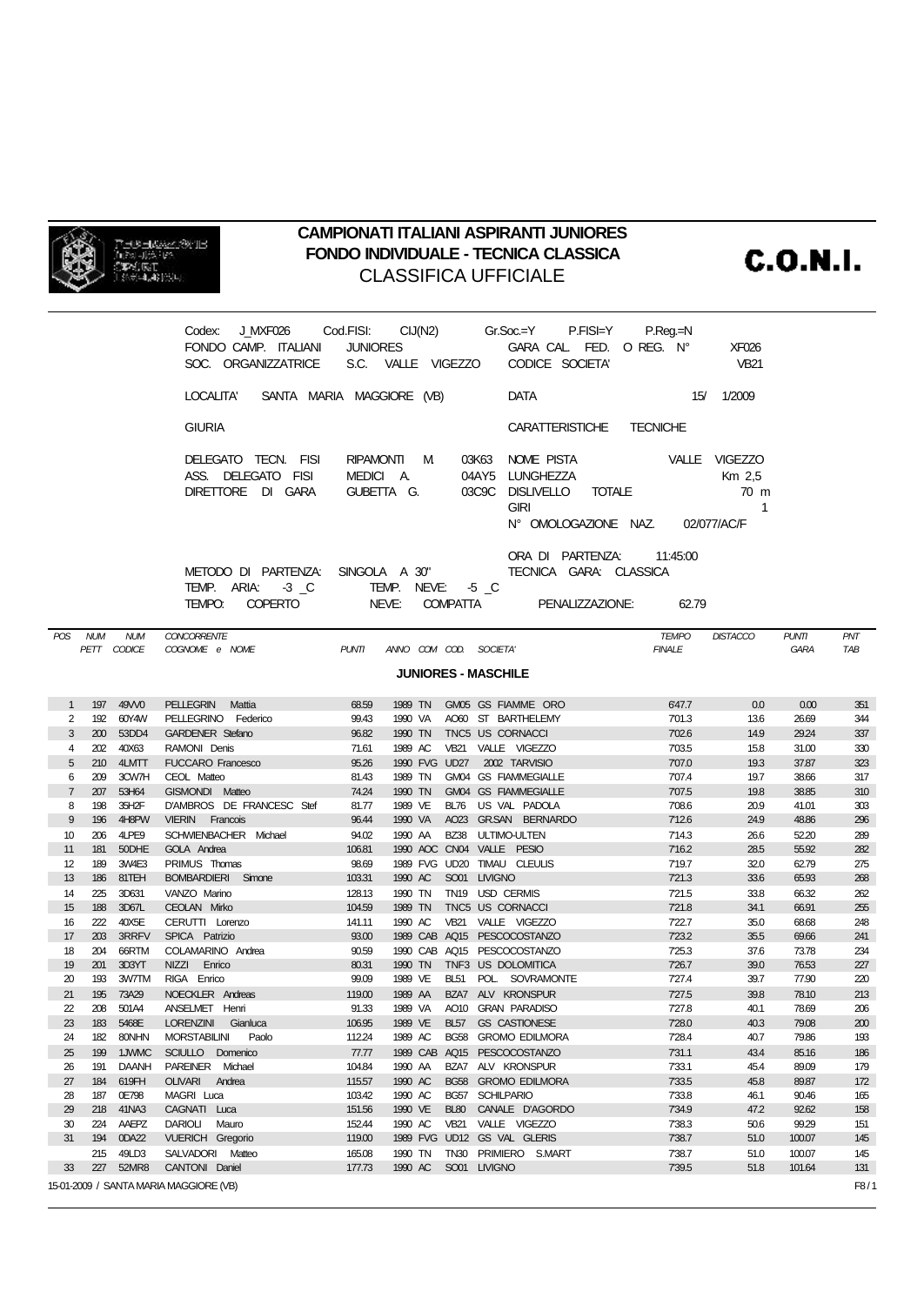

## **CAMPIONATI ITALIANI ASPIRANTI JUNIORES** FONDO INDIVIDUALE - TECNICA CLASSICA **CLASSIFICA UFFICIALE**

**C.O.N.I.** 

|                                                                                                                                                                                                          |     |                           | Codex: J_MXF026 Cod.FISI: CIJ(N2) Gr.Soc.=Y P.FISI=Y P.Reg.=N<br>FONDO CAMP. ITALIANI<br>SOC. ORGANIZZATRICE | JUNIORES         |                                        |  |             | GARA CAL FED. OREG. N°<br>S.C. VALLE VIGEZZO CODICE SOCIETA'                                |                                  | XF026<br><b>VB21</b>             |                             |                   |
|----------------------------------------------------------------------------------------------------------------------------------------------------------------------------------------------------------|-----|---------------------------|--------------------------------------------------------------------------------------------------------------|------------------|----------------------------------------|--|-------------|---------------------------------------------------------------------------------------------|----------------------------------|----------------------------------|-----------------------------|-------------------|
|                                                                                                                                                                                                          |     |                           | LOCALITA' SANTA MARIA MAGGIORE (VB)                                                                          |                  |                                        |  |             | DATA                                                                                        |                                  | 15/ 1/2009                       |                             |                   |
|                                                                                                                                                                                                          |     |                           | <b>GIURIA</b>                                                                                                |                  |                                        |  |             | <b>CARATTERISTICHE</b>                                                                      | <b>TECNICHE</b>                  |                                  |                             |                   |
|                                                                                                                                                                                                          |     |                           | DELEGATO TECN. FISI<br>ASS. DELEGATO FISI<br>DIRETTORE DI GARA                                               |                  | RIPAMONTI M<br>MEDICI A.<br>GUBETTA G. |  |             | 03K63 NOME PISTA VALLE VIGEZZO<br>04AY5 LUNGHEZZA<br>03C9C DISLIVELLO TOTALE<br><b>GIRI</b> | N° OMOLOGAZIONE NAZ. 02/077/AC/F | Km 2,5<br>70 m<br>$\overline{1}$ |                             |                   |
| ORA DI PARTENZA: 11:45:00<br>METODO DI PARTENZA: SINGOLA A 30"<br>TECNICA GARA: CLASSICA<br>TEMP. ARIA: 3 C<br>TEMP. NEVE: 5 C<br>PENALIZZAZIONE:<br><b>COPERTO</b><br>NEVE: COMPATTA<br>TEMPO.<br>62.79 |     |                           |                                                                                                              |                  |                                        |  |             |                                                                                             |                                  |                                  |                             |                   |
| POS NUM                                                                                                                                                                                                  |     | <b>NUM</b><br>PETT CODICE | <b>CONCORRENTE</b><br>COGNOME e NOME                                                                         | <b>PUNTI</b>     |                                        |  |             | ANNO COM COD. SOCIETA'                                                                      | <b>TEMPO</b><br><b>FINALE</b>    | <b>DISTACCO</b>                  | <b>PUNTI</b><br><b>GARA</b> | <b>PNT</b><br>TAB |
|                                                                                                                                                                                                          |     |                           |                                                                                                              |                  |                                        |  |             | <b>JUNIORES - MASCHILE</b>                                                                  |                                  |                                  |                             |                   |
|                                                                                                                                                                                                          |     |                           |                                                                                                              |                  |                                        |  |             |                                                                                             |                                  |                                  |                             |                   |
| 1                                                                                                                                                                                                        |     | 197 49W0                  | PELLEGRIN Mattia                                                                                             | 68.59            |                                        |  |             | 1989 TN GM05 GS FIAMME ORO                                                                  | 6'47.7                           | 0.0                              | 0.00                        | 351               |
| 2<br>3                                                                                                                                                                                                   |     | 192 60Y4W<br>200 53DD4    | PELLEGRINO Federico<br><b>GARDENER Stefano</b>                                                               | 99.43<br>96.82   |                                        |  |             | 1990 VA AO60 ST BARTHELEMY<br>1990 TN TNC5 US CORNACCI                                      | 7'01.3<br>7'02.6                 | 13.6<br>14.9                     | 26.69<br>29.24              | 344<br>337        |
| 4                                                                                                                                                                                                        |     | 202 40X63                 | RAMONI Denis                                                                                                 | 71.61            |                                        |  |             | 1989 AC VB21 VALLE VIGEZZO                                                                  | 7'03.5                           | 15.8                             | 31.00                       | 330               |
| 5                                                                                                                                                                                                        |     | 210 4LMTT                 | FUCCARO Francesco                                                                                            | 95.26            |                                        |  |             | 1990 FVG UD27 2002 TARVISIO                                                                 | 7'07.0                           | 19.3                             | 37.87                       | 323               |
| 6                                                                                                                                                                                                        |     | 209 3CW7H                 | CEOL Matteo                                                                                                  | 81.43            |                                        |  |             | 1989 TN GM04 GS FIAMMEGIALLE                                                                | 7'07.4                           | 19.7                             | 38.66                       | 317               |
| $\overline{7}$                                                                                                                                                                                           |     | 207 53H64<br>198 35H2F    | GISMONDI Matteo<br>D'AMBROS DE FRANCESC Stef                                                                 | 74.24            |                                        |  |             | 1990 TN GM04 GS FIAMMEGIALLE<br>BL76 US VAL PADOLA                                          | 7'07.5                           | 19.8                             | 38.85                       | 310               |
| 8<br>9                                                                                                                                                                                                   |     | 196 4H8PW                 | VIERIN Francois                                                                                              | 81.77<br>96.44   | 1989 VE                                |  |             | 1990 VA AO23 GR.SAN BERNARDO                                                                | 7'08.6<br>7'12.6                 | 20.9<br>24.9                     | 41.01<br>48.86              | 303<br>296        |
| 10 <sup>°</sup>                                                                                                                                                                                          |     | 206 4LPE9                 | SCHWIENBACHER Michael                                                                                        | 94.02            |                                        |  |             | 1990 AA BZ38 ULTIMO-ULTEN                                                                   | 7'14.3                           | 26.6                             | 52.20                       | 289               |
| 11                                                                                                                                                                                                       |     | 181 50DHE                 | GOLA Andrea                                                                                                  | 106.81           |                                        |  |             | 1990 ACC CN04 VALLE PESIO                                                                   | 7'16.2                           | 28.5                             | 55.92                       | 282               |
| 12                                                                                                                                                                                                       |     | 189 3W4E3                 | PRIMUS Thomas                                                                                                | 98.69            |                                        |  |             | 1989 FVG UD20 TIMAU CLEULIS                                                                 | 7'19.7                           | 32.0                             | 62.79                       | 275               |
| 13                                                                                                                                                                                                       |     | 186 81TEH                 | <b>BOMBARDIERI</b> Simone                                                                                    | 103.31           | 1990 AC                                |  |             | SO01 LIVIGNO                                                                                | 7'21.3                           | 33.6                             | 65.93                       | 268               |
| 14                                                                                                                                                                                                       |     | 225 3D631                 | VANZO Marino                                                                                                 | 128.13           |                                        |  |             | 1990 TN TN19 USD CERMIS                                                                     | 7'21.5                           | 33.8                             | 66.32                       | 262               |
| 15<br>16                                                                                                                                                                                                 |     | 188 3D67L<br>222 40X5E    | CEOLAN Mirko<br>CERUTTI Lorenzo                                                                              | 104.59<br>141.11 | 1990 AC                                |  |             | 1989 TN TNC5 US CORNACCI<br>VB21 VALLE VIGEZZO                                              | 7'21.8<br>7'22.7                 | 34.1<br>35.0                     | 66.91<br>68.68              | 255<br>248        |
| 17                                                                                                                                                                                                       |     | 203 3RRFV                 | SPICA Patrizio                                                                                               | 93.00            |                                        |  |             | 1989 CAB AQ15 PESCOCOSTANZO                                                                 | 7'23.2                           | 35.5                             | 69.66                       | 241               |
| 18                                                                                                                                                                                                       |     | 204 66RTM                 | COLAMARINO Andrea                                                                                            | 90.59            |                                        |  |             | 1990 CAB AQ15 PESCOCOSTANZO                                                                 | 7'25.3                           | 37.6                             | 73.78                       | 234               |
| 19                                                                                                                                                                                                       |     | 201 3D3YT                 | NIZZI Enrico                                                                                                 | 80.31            |                                        |  |             | 1990 TN TNF3 US DOLOMITICA                                                                  | 7'26.7                           | 39.0                             | 76.53                       | 227               |
| 20                                                                                                                                                                                                       |     | 193 3W7TM                 | RIGA Enrico                                                                                                  | 99.09            |                                        |  |             | 1989 VE BL51 POL. SOVRAMONTE                                                                | 7'27.4                           | 39.7                             | 77.90                       | 220               |
| 21                                                                                                                                                                                                       |     | 195 73A29                 | NOECKLER Andreas<br>22 208 501A4 ANSELMET Henri                                                              | 119.00<br>91.33  |                                        |  |             | 1989 AA BZA7 ALV KRONSPUR<br>1989 VA AO10 GRAN PARADISO                                     | 7'27.5<br>7'27.8                 | 39.8<br>40.1                     | 78.10<br>78.69              | 213<br>206        |
| 23                                                                                                                                                                                                       | 183 | 5468E                     | LORENZINI Gianluca                                                                                           | 106.95           | 1989 VE                                |  | <b>BL57</b> | <b>GS CASTIONESE</b>                                                                        | 7'28.0                           | 40.3                             | 79.08                       | 200               |
| 24                                                                                                                                                                                                       | 182 | 80NHN                     | <b>MORSTABILINI</b><br>Paolo                                                                                 | 112.24           | 1989 AC                                |  |             | BG58 GROMO EDILMORA                                                                         | 7'28.4                           | 40.7                             | 79.86                       | 193               |
| 25                                                                                                                                                                                                       | 199 | 1JWMC                     | SCIULLO Domenico                                                                                             | 77.77            |                                        |  |             | 1989 CAB AQ15 PESCOCOSTANZO                                                                 | 7'31.1                           | 43.4                             | 85.16                       | 186               |
| 26                                                                                                                                                                                                       | 191 | <b>DAANH</b>              | PAREINER Michael                                                                                             | 104.84           | 1990 AA                                |  |             | BZA7 ALV KRONSPUR                                                                           | 7'33.1                           | 45.4                             | 89.09                       | 179               |
| 27                                                                                                                                                                                                       | 184 | 619FH                     | OLIVARI Andrea                                                                                               | 115.57           | 1990 AC                                |  |             | BG58 GROMO EDILMORA                                                                         | 7'33.5                           | 45.8                             | 89.87                       | 172               |
| 28<br>29                                                                                                                                                                                                 | 187 | 0E798<br>218 41NA3        | MAGRI Luca<br>CAGNATI Luca                                                                                   | 103.42<br>151.56 | 1990 AC<br>1990 VE                     |  | <b>BL80</b> | BG57 SCHILPARIO<br>CANALE D'AGORDO                                                          | 7'33.8<br>7'34.9                 | 46.1<br>47.2                     | 90.46<br>92.62              | 165<br>158        |
| 30                                                                                                                                                                                                       |     | 224 AAEPZ                 | DARIOLI Mauro                                                                                                | 152.44           | 1990 AC                                |  |             | VB21 VALLE VIGEZZO                                                                          | 7'38.3                           | 50.6                             | 99.29                       | 151               |
| 31                                                                                                                                                                                                       | 194 | 0DA22                     | VUERICH Gregorio                                                                                             | 119.00           |                                        |  |             | 1989 FVG UD12 GS VAL GLERIS                                                                 | 7'38.7                           | 51.0                             | 100.07                      | 145               |
|                                                                                                                                                                                                          | 215 | 49LD3                     | SALVADORI Matteo                                                                                             | 165.08           | 1990 TN                                |  |             | TN30 PRIMIERO S.MART                                                                        | 7'38.7                           | 51.0                             | 100.07                      | 145               |
| 33                                                                                                                                                                                                       | 227 | 52MR8                     | CANTONI Daniel                                                                                               | 177.73           | 1990 AC                                |  |             | SO01 LIVIGNO                                                                                | 7'39.5                           | 51.8                             | 101.64                      | 131               |
| 15-01-2009 / SANTA MARIA MAGGIORE (VB)<br>F8/1                                                                                                                                                           |     |                           |                                                                                                              |                  |                                        |  |             |                                                                                             |                                  |                                  |                             |                   |